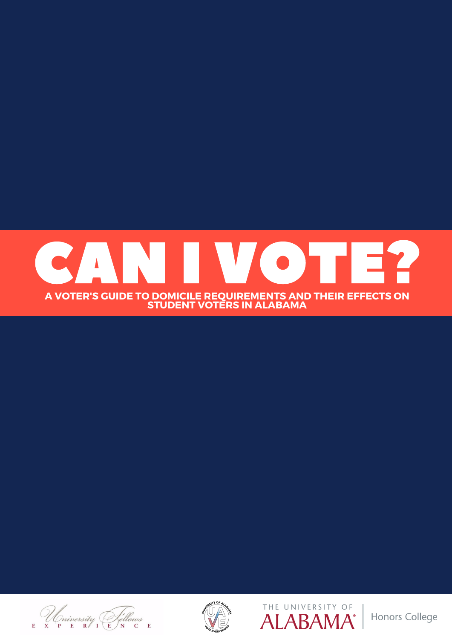







Honors College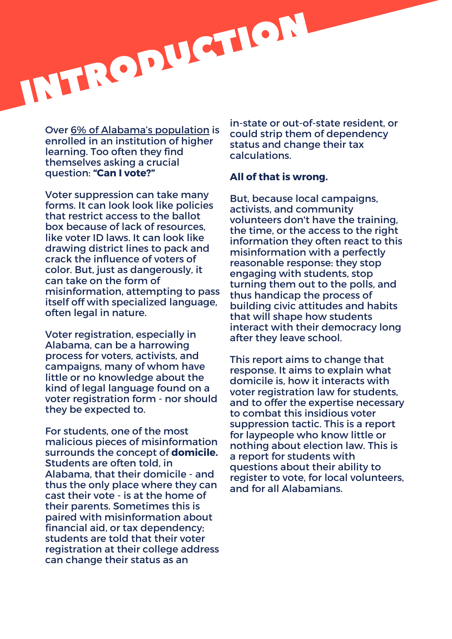

Over 6% of Alabama's [population](https://www.univstats.com/states/alabama/student-population/) is enrolled in an institution of higher learning. Too often they find themselves asking a crucial question: **"Can I vote?"**

Voter suppression can take many forms. It can look look like policies that restrict access to the ballot box because of lack of resources, like voter ID laws. It can look like drawing district lines to pack and crack the influence of voters of color. But, just as dangerously, it can take on the form of misinformation, attempting to pass itself off with specialized language, often legal in nature.

Voter registration, especially in Alabama, can be a harrowing process for voters, activists, and campaigns, many of whom have little or no knowledge about the kind of legal language found on a voter registration form - nor should they be expected to.

For students, one of the most malicious pieces of misinformation surrounds the concept of **domicile.** Students are often told, in Alabama, that their domicile - and thus the only place where they can cast their vote - is at the home of their parents. Sometimes this is paired with misinformation about financial aid, or tax dependency; students are told that their voter registration at their college address can change their status as an

in-state or out-of-state resident, or could strip them of dependency status and change their tax calculations.

#### **All of that is wrong.**

But, because local campaigns, activists, and community volunteers don't have the training, the time, or the access to the right information they often react to this misinformation with a perfectly reasonable response: they stop engaging with students, stop turning them out to the polls, and thus handicap the process of building civic attitudes and habits that will shape how students interact with their democracy long after they leave school.

This report aims to change that response. It aims to explain what domicile is, how it interacts with voter registration law for students, and to offer the expertise necessary to combat this insidious voter suppression tactic. This is a report for laypeople who know little or nothing about election law. This is a report for students with questions about their ability to register to vote, for local volunteers, and for all Alabamians.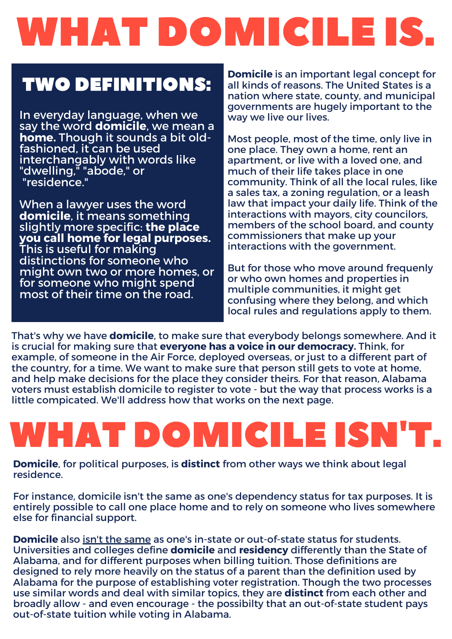# WHAT DOMICILE IS.

### TWO DEFINITIONS:

In everyday language, when we say the word **domicile**, we mean a **home.** Though it sounds a bit oldfashioned, it can be used interchangably with words like "dwelling," "abode," or "residence."

When a lawyer uses the word **domicile**, it means something slightly more specific: **the place you call home for legal purposes.** This is useful for making distinctions for someone who might own two or more homes, or for someone who might spend most of their time on the road.

**Domicile** is an important legal concept for all kinds of reasons. The United States is a nation where state, county, and municipal governments are hugely important to the way we live our lives.

Most people, most of the time, only live in one place. They own a home, rent an apartment, or live with a loved one, and much of their life takes place in one community. Think of all the local rules, like a sales tax, a zoning regulation, or a leash law that impact your daily life. Think of the interactions with mayors, city councilors, members of the school board, and county commissioners that make up your interactions with the government.

But for those who move around frequenly or who own homes and properties in multiple communities, it might get confusing where they belong, and which local rules and regulations apply to them.

That's why we have **domicile**, to make sure that everybody belongs somewhere. And it is crucial for making sure that **everyone has a voice in our democracy.** Think, for example, of someone in the Air Force, deployed overseas, or just to a different part of the country, for a time. We want to make sure that person still gets to vote at home, and help make decisions for the place they consider theirs. For that reason, Alabama voters must establish domicile to register to vote - but the way that process works is a little compicated. We'll address how that works on the next page.

# WHAT DOMICILE ISN'T.

**Domicile**, for political purposes, is **distinct** from other ways we think about legal residence.

For instance, domicile isn't the same as one's dependency status for tax purposes. It is entirely possible to call one place home and to rely on someone who lives somewhere else for financial support.

Domicile also isn't the [same](https://registrar.ua.edu/academics-policies/residency-for-tuition-purposes/) as one's in-state or out-of-state status for students. Universities and colleges define **domicile** and **residency** differently than the State of Alabama, and for different purposes when billing tuition. Those definitions are designed to rely more heavily on the status of a parent than the definition used by Alabama for the purpose of establishing voter registration. Though the two processes use similar words and deal with similar topics, they are **distinct** from each other and broadly allow - and even encourage - the possibilty that an out-of-state student pays out-of-state tuition while voting in Alabama.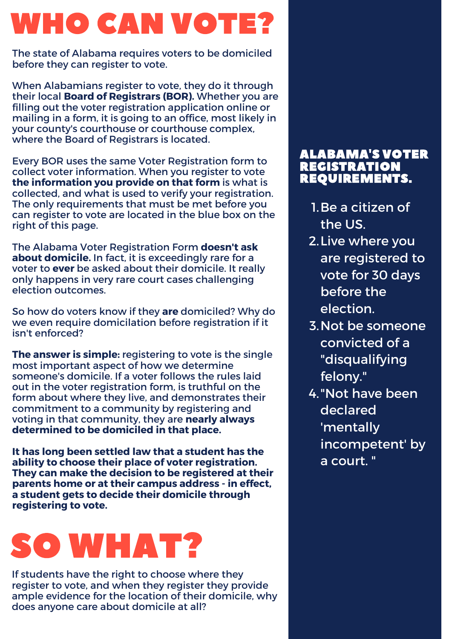## WHO CAN VOTE?

The state of Alabama requires voters to be domiciled before they can register to vote.

When Alabamians register to vote, they do it through their local **Board of Registrars (BOR).** Whether you are filling out the voter registration application online or mailing in a form, it is going to an office, most likely in your county's courthouse or courthouse complex, where the Board of Registrars is located.

Every BOR uses the same Voter Registration form to collect voter information. When you register to vote **the information you provide on that form** is what is collected, and what is used to verify your registration. The only requirements that must be met before you can register to vote are located in the blue box on the right of this page.

**The Alabama Voter Registration Form doesn't ask about domicile.** In fact, it is exceedingly rare for a voter to **ever** be asked about their domicile. It really only happens in very rare court cases challenging election outcomes.

So how do voters know if they **are** domiciled? Why do we even require domicilation before registration if it isn't enforced?

**The answer is simple:** registering to vote is the single most important aspect of how we determine someone's domicile. If a voter follows the rules laid out in the voter registration form, is truthful on the form about where they live, and demonstrates their commitment to a community by registering and voting in that community, they are **nearly always determined to be domiciled in that place.**

**It has long been settled law that a student has the ability to choose their place of voter registration. They can make the decision to be registered at their parents home or attheir campus address - in effect, a student gets to decide theirdomicile through registering to vote.**

## SO WHAT?

If students have the right to choose where they register to vote, and when they register they provide ample evidence for the location of their domicile, why does anyone care about domicile at all?

#### ALABAMA'S VOTER **REGISTRATION** REQUIREMENTS.

- 1. Be a citizen of the US.
- 2. Live where you are registered to vote for 30 days before the election.
- 3. Not be someone convicted of a "disqualifying felony."
- 4. "Not have been declared 'mentally incompetent' by a court. "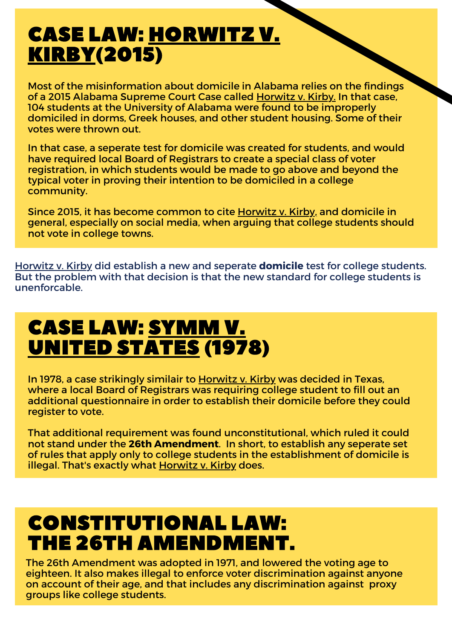## CASE LAW: HORWITZ V. KIRBY(2015)

Most of the misinformation about domicile in Alabama relies on the findings of a 2015 Alabama Supreme Court Case called Horwitz v. Kirby. In that case, 104 students at the University of Alabama were found to be improperly domiciled in dorms, Greek houses, and other student housing. Some of their votes were thrown out.

In that case, a seperate test for domicile was created for students, and would have required local Board of Registrars to create a special class of voter registration, in which students would be made to go above and beyond the typical voter in proving their intention to be domiciled in a college community.

Since 2015, it has become common to cite Horwitz v. Kirby, and domicile in general, especially on social media, when arguing that college students should not vote in college towns.

Horwitz v. Kirby did establish a new and seperate **domicile** test for college students. But the problem with that decision is that the new standard for college students is unenforcable.

## CASE LAW: SYMM V. UNITED STATES (1978)

In 1978, a case strikingly similair to Horwitz v. Kirby was decided in Texas, where a local Board of Registrars was requiring college student to fill out an additional questionnaire in order to establish their domicile before they could register to vote.

That additional requirement was found unconstitutional, which ruled it could not stand under the **26th Amendment**. In short, to establish anyseperate set of rules that apply only to college students in the establishment of domicile is illegal. That's exactly what Horwitz v. Kirby does.

### CONSTITUTIONAL LAW: THE 26TH AMENDMENT.

The 26th Amendment was adopted in 1971, and lowered the voting age to eighteen. It also makes illegal to enforce voter discrimination against anyone on account of their age, and that includes any discrimination against proxy groups like college students.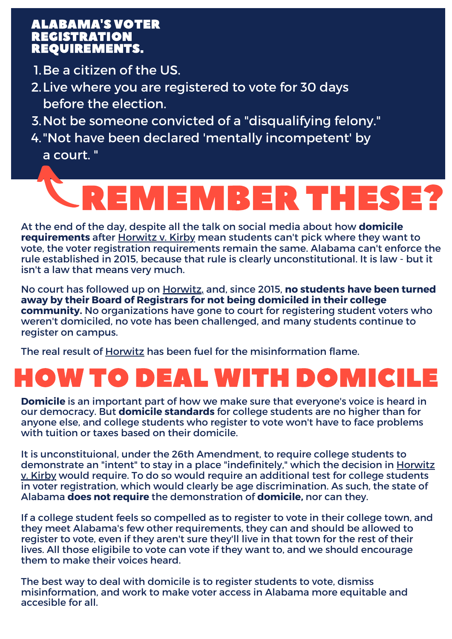#### ALABAMA'S VOTER REGISTRATION REQUIREMENTS.

- 1. Be a citizen of the US.  $\,$
- Live where you are registered to vote for 30 days 2. before the election.
- 3. Not be someone convicted of a "disqualifying felony."
- "Not have been declared 'mentally incompetent' by 4. a court. "

# REMEMBER THESE?

At the end of the day, despite all the talk on social media about how **domicile requirements** after Horwitz v. Kirby mean students can't pick where they want to vote, the voter registration requirements remain the same. Alabama can't enforce the rule established in 2015, because that rule is clearly unconstitutional. It is law - but it isn't a law that means very much.

No court has followed up on Horwitz, and, since 2015, **no students have been turned away by their Board of Registrars for not being domiciled in their college community.** No organizations have gone to court for registering student voters who weren't domiciled, no vote has been challenged, and many students continue to register on campus.

The real result of Horwitz has been fuel for the misinformation flame.

## HOW TO DEAL WITH DOMICILE

**Domicile** is an important part of how we make sure that everyone's voice is heard in our democracy. But **domicile standards** for college students are no higher than for anyone else, and college students who register to vote won't have to face problems with tuition or taxes based on their domicile.

It is unconstituional, under the 26th Amendment, to require college students to demonstrate an "intent" to stay in a place "indefinitely," which the decision in Horwitz v. Kirby would require. To do so would require an additional test for college students in voter registration, which would clearly be age discrimination. As such, the state of Alabama **does not require** the demonstration of **domicile,** nor can they.

If a college student feels so compelled as to register to vote in their college town, and they meet Alabama's few other requirements, they can and should be allowed to register to vote, even if they aren't sure they'll live in that town for the rest of their lives. All those eligibile to vote can vote if they want to, and we should encourage them to make their voices heard.

The best way to deal with domicile is to register students to vote, dismiss misinformation, and work to make voter access in Alabama more equitable and accesible for all.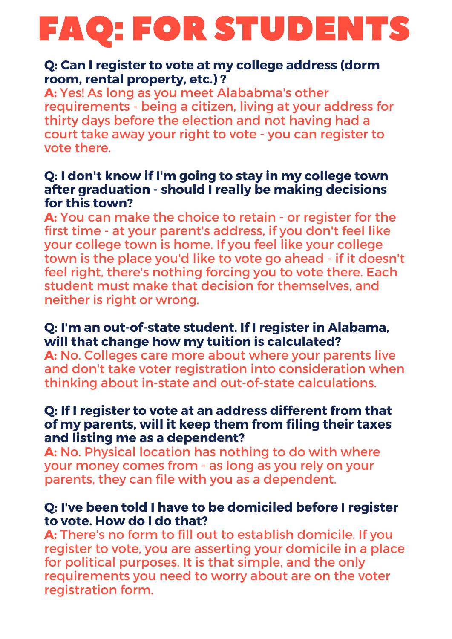# FAQ: FOR STUDENTS

### **Q: Can I register to vote at my college address (dorm room, rental property, etc.) ?**

A: Yes! As long as you meet Alababma's other requirements - being a citizen, living at your address for thirty days before the election and not having had a court take away your right to vote - you can register to vote there.

### **Q: I don't know if I'm going to stay in my college town after graduation - should I really be making decisions for this town?**

**A:** You can make the choice to retain - or register for the first time - at your parent's address, if you don't feel like your college town is home. If you feel like your college town is the place you'd like to vote go ahead - if it doesn't feel right, there's nothing forcing you to vote there. Each student must make that decision for themselves, and neither is right or wrong.

### **Q: I'm an out-of-state student. If I register in Alabama, will that change how my tuition is calculated?**

**A:** No. Colleges care more about where your parents live and don't take voter registration into consideration when thinking about in-state and out-of-state calculations.

### **Q: If I register to vote at an address different from that of my parents, will it keep them from filing their taxes and listing me as a dependent?**

**A:** No. Physical location has nothing to do with where your money comes from - as long as you rely on your parents, they can file with you as a dependent.

### **Q: I've been told I have to be domiciled before I register to vote. How do I do that?**

**A:** There's no form to fill out to establish domicile. If you register to vote, you are asserting your domicile in a place for political purposes. It is that simple, and the only requirements you need to worry about are on the voter registration form.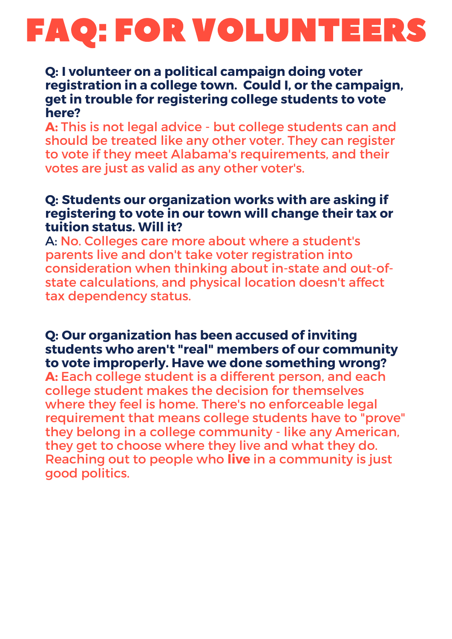## FAQ: FOR VOLUNTEERS

#### **Q: I volunteer on apolitical campaign doing voter registration in acollege town. Could I, or the campaign, get in trouble for registering college students to vote here?**

**A:** This is not legal advice - but college students can and should be treated like any other voter. They can register to vote if they meet Alabama's requirements, and their votes are just as valid as any other voter's.

### **Q: Students our organization works with are asking if registering to vote in our town will change their tax or tuition status. Will it?**

A: No. Colleges care more about where a student's parents live and don't take voter registration into consideration when thinking about in-state and out-of state calculations, and physical location doesn't affect tax dependency status.

### **Q: Our organization has been accused of inviting students who aren't "real" members of our community to vote improperly. Have we done something wrong?**

**A:** Each college student is a different person, and each college student makes the decision for themselves where they feel is home. There's no enforceable legal requirement that means college students have to "prove" they belong in acollege community - like any American, they get to choose where they live and what they do. Reaching out to people who **live** in a community is just good politics.